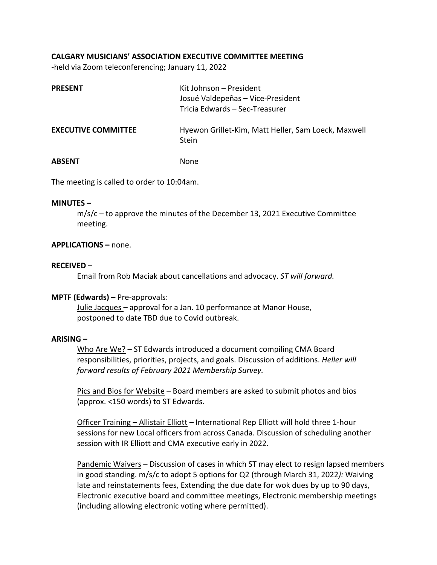# **CALGARY MUSICIANS' ASSOCIATION EXECUTIVE COMMITTEE MEETING**

‐held via Zoom teleconferencing; January 11, 2022

| <b>PRESENT</b>             | Kit Johnson - President<br>Josué Valdepeñas - Vice-President<br>Tricia Edwards - Sec-Treasurer |  |
|----------------------------|------------------------------------------------------------------------------------------------|--|
| <b>EXECUTIVE COMMITTEE</b> | Hyewon Grillet-Kim, Matt Heller, Sam Loeck, Maxwell<br><b>Stein</b>                            |  |
| ABSENT                     | None                                                                                           |  |

The meeting is called to order to 10:04am.

#### **MINUTES –**

 $m/s/c$  – to approve the minutes of the December 13, 2021 Executive Committee meeting.

# **APPLICATIONS –** none.

#### **RECEIVED –**

Email from Rob Maciak about cancellations and advocacy. *ST will forward.*

# **MPTF (Edwards) –** Pre‐approvals:

 Julie Jacques – approval for a Jan. 10 performance at Manor House, postponed to date TBD due to Covid outbreak.

# **ARISING –**

Who Are We? - ST Edwards introduced a document compiling CMA Board responsibilities, priorities, projects, and goals. Discussion of additions. *Heller will forward results of February 2021 Membership Survey.* 

Pics and Bios for Website – Board members are asked to submit photos and bios (approx. <150 words) to ST Edwards.

Officer Training - Allistair Elliott - International Rep Elliott will hold three 1-hour sessions for new Local officers from across Canada. Discussion of scheduling another session with IR Elliott and CMA executive early in 2022.

Pandemic Waivers – Discussion of cases in which ST may elect to resign lapsed members in good standing. m/s/c to adopt 5 options for Q2 (through March 31, 2022*):* Waiving late and reinstatements fees, Extending the due date for wok dues by up to 90 days, Electronic executive board and committee meetings, Electronic membership meetings (including allowing electronic voting where permitted).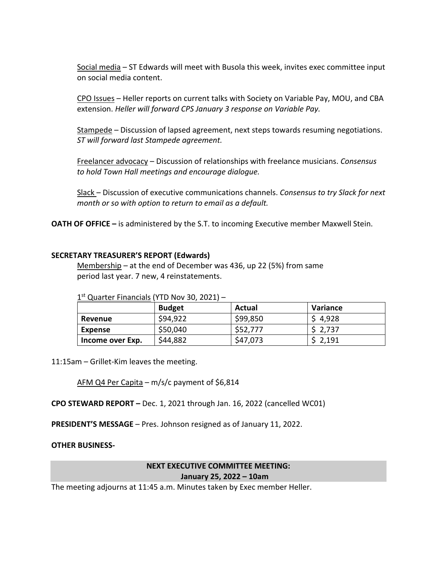Social media – ST Edwards will meet with Busola this week, invites exec committee input on social media content.

CPO Issues – Heller reports on current talks with Society on Variable Pay, MOU, and CBA extension. *Heller will forward CPS January 3 response on Variable Pay.*

Stampede – Discussion of lapsed agreement, next steps towards resuming negotiations. *ST will forward last Stampede agreement.* 

Freelancer advocacy – Discussion of relationships with freelance musicians. *Consensus to hold Town Hall meetings and encourage dialogue.* 

Slack – Discussion of executive communications channels. *Consensus to try Slack for next month or so with option to return to email as a default.* 

**OATH OF OFFICE** – is administered by the S.T. to incoming Executive member Maxwell Stein.

#### **SECRETARY TREASURER'S REPORT (Edwards)**

Membership – at the end of December was 436, up 22 (5%) from same period last year. 7 new, 4 reinstatements.

|                  | L Quarter Financials (TTD NOV 50, 2021) - |          |          |  |
|------------------|-------------------------------------------|----------|----------|--|
|                  | <b>Budget</b>                             | Actual   | Variance |  |
| Revenue          | \$94,922                                  | \$99,850 | \$4,928  |  |
| Expense          | \$50,040                                  | \$52,777 | \$2,737  |  |
| Income over Exp. | \$44,882                                  | \$47,073 | \$2,191  |  |

1st Quarter Financials (VTD Nov 30, 2021)

11:15am – Grillet-Kim leaves the meeting.

AFM Q4 Per Capita – m/s/c payment of \$6,814

**CPO STEWARD REPORT –** Dec. 1, 2021 through Jan. 16, 2022 (cancelled WC01)

**PRESIDENT'S MESSAGE** – Pres. Johnson resigned as of January 11, 2022.

# **OTHER BUSINESS‐**

#### **NEXT EXECUTIVE COMMITTEE MEETING: January 25, 2022 – 10am**

The meeting adjourns at 11:45 a.m. Minutes taken by Exec member Heller.